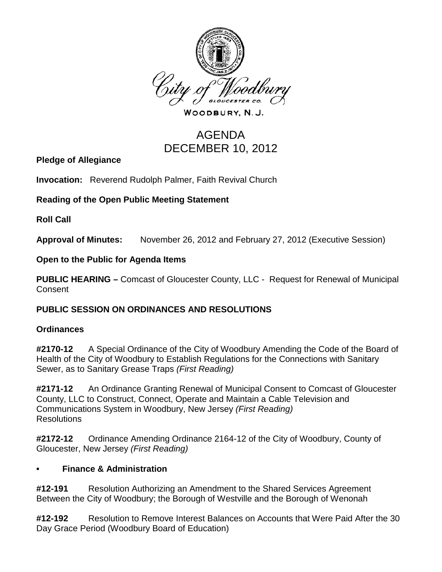

WOODBURY, N.J.

# AGENDA DECEMBER 10, 2012

**Pledge of Allegiance**

**Invocation:** Reverend Rudolph Palmer, Faith Revival Church

#### **Reading of the Open Public Meeting Statement**

**Roll Call**

**Approval of Minutes:** November 26, 2012 and February 27, 2012 (Executive Session)

**Open to the Public for Agenda Items**

**PUBLIC HEARING –** Comcast of Gloucester County, LLC - Request for Renewal of Municipal **Consent** 

#### **PUBLIC SESSION ON ORDINANCES AND RESOLUTIONS**

#### **Ordinances**

**#2170-12** A Special Ordinance of the City of Woodbury Amending the Code of the Board of Health of the City of Woodbury to Establish Regulations for the Connections with Sanitary Sewer, as to Sanitary Grease Traps *(First Reading)*

**#2171-12** An Ordinance Granting Renewal of Municipal Consent to Comcast of Gloucester County, LLC to Construct, Connect, Operate and Maintain a Cable Television and Communications System in Woodbury, New Jersey *(First Reading)* Resolutions

**#2172-12** Ordinance Amending Ordinance 2164-12 of the City of Woodbury, County of Gloucester, New Jersey *(First Reading)*

#### **• Finance & Administration**

**#12-191** Resolution Authorizing an Amendment to the Shared Services Agreement Between the City of Woodbury; the Borough of Westville and the Borough of Wenonah

**#12-192** Resolution to Remove Interest Balances on Accounts that Were Paid After the 30 Day Grace Period (Woodbury Board of Education)